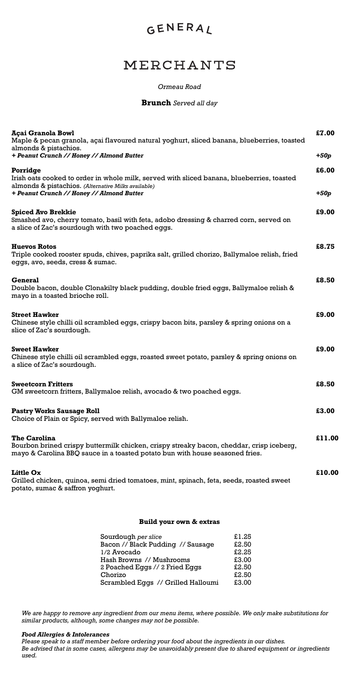## GENERAL

## MERCHANTS

| Açai Granola Bowl<br>Maple & pecan granola, açai flavoured natural yoghurt, sliced banana, blueberries, toasted<br>almonds & pistachios.                                                       |        |  |
|------------------------------------------------------------------------------------------------------------------------------------------------------------------------------------------------|--------|--|
| + Peanut Crunch // Honey // Almond Butter                                                                                                                                                      | $+50p$ |  |
| Porridge<br>Irish oats cooked to order in whole milk, served with sliced banana, blueberries, toasted                                                                                          | £6.00  |  |
| almonds & pistachios. (Alternative Milks available)<br>+ Peanut Crunch // Honey // Almond Butter                                                                                               | $+50p$ |  |
| <b>Spiced Avo Brekkie</b><br>Smashed avo, cherry tomato, basil with feta, adobo dressing & charred corn, served on<br>a slice of Zac's sourdough with two poached eggs.                        | £9.00  |  |
| <b>Huevos Rotos</b><br>Triple cooked rooster spuds, chives, paprika salt, grilled chorizo, Ballymaloe relish, fried<br>eggs, avo, seeds, cress & sumac.                                        | £8.75  |  |
| General<br>Double bacon, double Clonakilty black pudding, double fried eggs, Ballymaloe relish &<br>mayo in a toasted brioche roll.                                                            | £8.50  |  |
| <b>Street Hawker</b><br>Chinese style chilli oil scrambled eggs, crispy bacon bits, parsley & spring onions on a<br>slice of Zac's sourdough.                                                  | £9.00  |  |
| <b>Sweet Hawker</b><br>Chinese style chilli oil scrambled eggs, roasted sweet potato, parsley & spring onions on<br>a slice of Zac's sourdough.                                                | £9.00  |  |
| <b>Sweetcorn Fritters</b><br>GM sweetcorn fritters, Ballymaloe relish, avocado & two poached eggs.                                                                                             |        |  |
| <b>Pastry Works Sausage Roll</b><br>Choice of Plain or Spicy, served with Ballymaloe relish.                                                                                                   | £3.00  |  |
| <b>The Carolina</b><br>Bourbon brined crispy buttermilk chicken, crispy streaky bacon, cheddar, crisp iceberg,<br>mayo & Carolina BBQ sauce in a toasted potato bun with house seasoned fries. | £11.00 |  |
| <b>Little Ox</b><br>Grilled chicken, quinoa, semi dried tomatoes, mint, spinach, feta, seeds, roasted sweet<br>potato, sumac & saffron yoghurt.                                                | £10.00 |  |

| Sourdough per slice                | £1.25 |
|------------------------------------|-------|
| Bacon // Black Pudding // Sausage  | £2.50 |
| 1/2 Avocado                        | £2.25 |
| Hash Browns // Mushrooms           | £3.00 |
| 2 Poached Eggs // 2 Fried Eggs     | £2.50 |
| Chorizo                            | £2.50 |
| Scrambled Eggs // Grilled Halloumi | £3.00 |

**Build your own & extras**

### **Brunch** *Served all day*

*We are happy to remove any ingredient from our menu items, where possible. We only make substitutions for similar products, although, some changes may not be possible.* 

#### *Food Allergies & Intolerances*

*Please speak to a staff member before ordering your food about the ingredients in our dishes. Be advised that in some cases, allergens may be unavoidably present due to shared equipment or ingredients used.*

### *Ormeau Road*